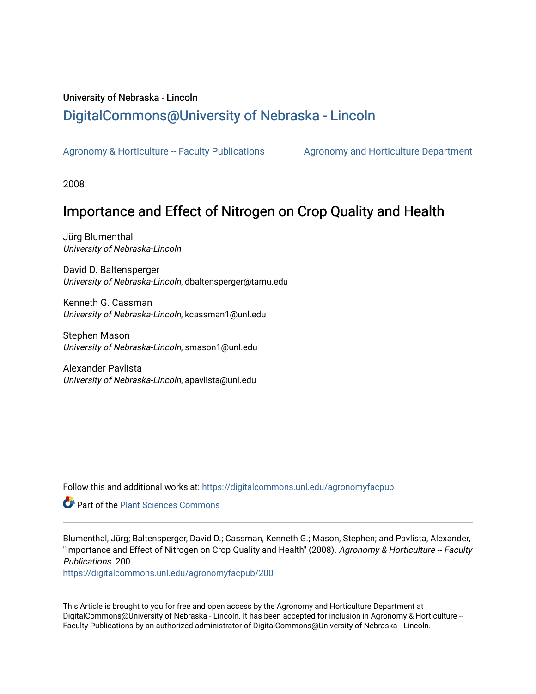# University of Nebraska - Lincoln [DigitalCommons@University of Nebraska - Lincoln](https://digitalcommons.unl.edu/)

[Agronomy & Horticulture -- Faculty Publications](https://digitalcommons.unl.edu/agronomyfacpub) Agronomy and Horticulture Department

2008

# Importance and Effect of Nitrogen on Crop Quality and Health

Jürg Blumenthal University of Nebraska-Lincoln

David D. Baltensperger University of Nebraska-Lincoln, dbaltensperger@tamu.edu

Kenneth G. Cassman University of Nebraska-Lincoln, kcassman1@unl.edu

Stephen Mason University of Nebraska-Lincoln, smason1@unl.edu

Alexander Pavlista University of Nebraska-Lincoln, apavlista@unl.edu

Follow this and additional works at: [https://digitalcommons.unl.edu/agronomyfacpub](https://digitalcommons.unl.edu/agronomyfacpub?utm_source=digitalcommons.unl.edu%2Fagronomyfacpub%2F200&utm_medium=PDF&utm_campaign=PDFCoverPages)

**Part of the [Plant Sciences Commons](http://network.bepress.com/hgg/discipline/102?utm_source=digitalcommons.unl.edu%2Fagronomyfacpub%2F200&utm_medium=PDF&utm_campaign=PDFCoverPages)** 

Blumenthal, Jürg; Baltensperger, David D.; Cassman, Kenneth G.; Mason, Stephen; and Pavlista, Alexander, "Importance and Effect of Nitrogen on Crop Quality and Health" (2008). Agronomy & Horticulture -- Faculty Publications. 200.

[https://digitalcommons.unl.edu/agronomyfacpub/200](https://digitalcommons.unl.edu/agronomyfacpub/200?utm_source=digitalcommons.unl.edu%2Fagronomyfacpub%2F200&utm_medium=PDF&utm_campaign=PDFCoverPages)

This Article is brought to you for free and open access by the Agronomy and Horticulture Department at DigitalCommons@University of Nebraska - Lincoln. It has been accepted for inclusion in Agronomy & Horticulture --Faculty Publications by an authorized administrator of DigitalCommons@University of Nebraska - Lincoln.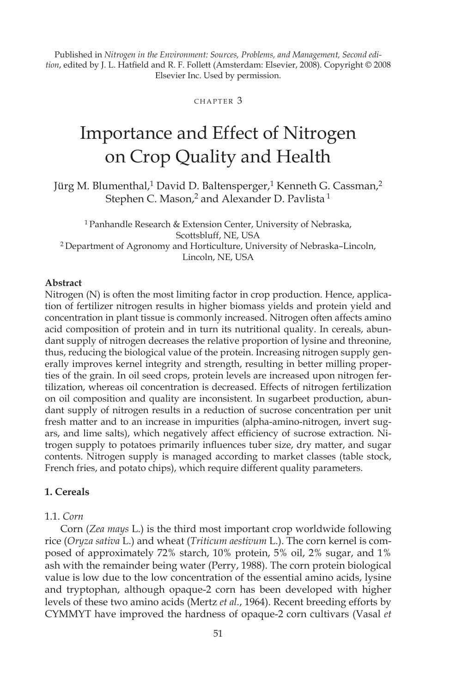Published in *Nitrogen in the Environment: Sources, Problems, and Management, Second edition*, edited by J. L. Hatfield and R. F. Follett (Amsterdam: Elsevier, 2008). Copyright © 2008 Elsevier Inc. Used by permission.

### CHAPTER 3

# Importance and Effect of Nitrogen on Crop Quality and Health

Jürg M. Blumenthal,<sup>1</sup> David D. Baltensperger,<sup>1</sup> Kenneth G. Cassman,<sup>2</sup> Stephen C. Mason,<sup>2</sup> and Alexander D. Pavlista<sup>1</sup>

<sup>1</sup>Panhandle Research & Extension Center, University of Nebraska, Scottsbluff, NE, USA<br><sup>2</sup> Department of Agronomy and Horticulture, University of Nebraska–Lincoln, Lincoln, NE, USA

#### **Abstract**

Nitrogen (N) is often the most limiting factor in crop production. Hence, application of fertilizer nitrogen results in higher biomass yields and protein yield and concentration in plant tissue is commonly increased. Nitrogen often affects amino acid composition of protein and in turn its nutritional quality. In cereals, abundant supply of nitrogen decreases the relative proportion of lysine and threonine, thus, reducing the biological value of the protein. Increasing nitrogen supply generally improves kernel integrity and strength, resulting in better milling properties of the grain. In oil seed crops, protein levels are increased upon nitrogen fertilization, whereas oil concentration is decreased. Effects of nitrogen fertilization on oil composition and quality are inconsistent. In sugarbeet production, abundant supply of nitrogen results in a reduction of sucrose concentration per unit fresh matter and to an increase in impurities (alpha-amino-nitrogen, invert sugars, and lime salts), which negatively affect efficiency of sucrose extraction. Nitrogen supply to potatoes primarily influences tuber size, dry matter, and sugar contents. Nitrogen supply is managed according to market classes (table stock, French fries, and potato chips), which require different quality parameters.

### **1. Cereals**

#### 1.1. *Corn*

Corn (*Zea mays* L.) is the third most important crop worldwide following rice (*Oryza sativa* L.) and wheat (*Triticum aestivum* L.). The corn kernel is composed of approximately 72% starch, 10% protein, 5% oil, 2% sugar, and 1% ash with the remainder being water (Perry, 1988). The corn protein biological value is low due to the low concentration of the essential amino acids, lysine and tryptophan, although opaque-2 corn has been developed with higher levels of these two amino acids (Mertz *et al.*, 1964). Recent breeding efforts by CYMMYT have improved the hardness of opaque-2 corn cultivars (Vasal *et*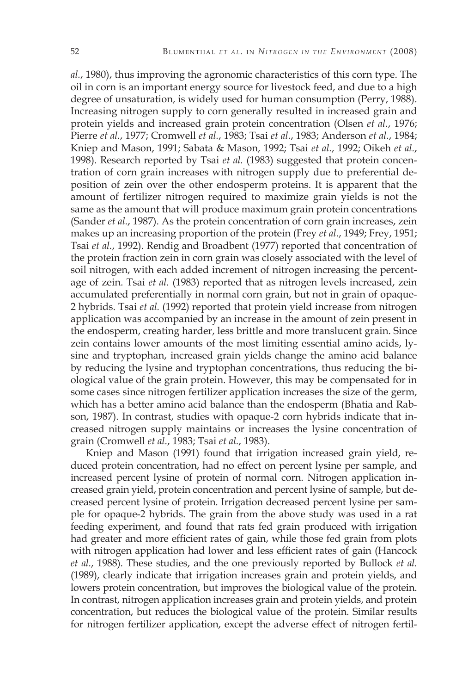*al.*, 1980), thus improving the agronomic characteristics of this corn type. The oil in corn is an important energy source for livestock feed, and due to a high degree of unsaturation, is widely used for human consumption (Perry, 1988). Increasing nitrogen supply to corn generally resulted in increased grain and protein yields and increased grain protein concentration (Olsen *et al.*, 1976; Pierre *et al.*, 1977; Cromwell *et al.*, 1983; Tsai *et al.*, 1983; Anderson *et al.*, 1984; Kniep and Mason, 1991; Sabata & Mason, 1992; Tsai *et al.*, 1992; Oikeh *et al.*, 1998). Research reported by Tsai *et al.* (1983) suggested that protein concentration of corn grain increases with nitrogen supply due to preferential deposition of zein over the other endosperm proteins. It is apparent that the amount of fertilizer nitrogen required to maximize grain yields is not the same as the amount that will produce maximum grain protein concentrations (Sander *et al.*, 1987). As the protein concentration of corn grain increases, zein makes up an increasing proportion of the protein (Frey *et al.*, 1949; Frey, 1951; Tsai *et al.*, 1992). Rendig and Broadbent (1977) reported that concentration of the protein fraction zein in corn grain was closely associated with the level of soil nitrogen, with each added increment of nitrogen increasing the percentage of zein. Tsai *et al.* (1983) reported that as nitrogen levels increased, zein accumulated preferentially in normal corn grain, but not in grain of opaque-2 hybrids. Tsai *et al.* (1992) reported that protein yield increase from nitrogen application was accompanied by an increase in the amount of zein present in the endosperm, creating harder, less brittle and more translucent grain. Since zein contains lower amounts of the most limiting essential amino acids, lysine and tryptophan, increased grain yields change the amino acid balance by reducing the lysine and tryptophan concentrations, thus reducing the biological value of the grain protein. However, this may be compensated for in some cases since nitrogen fertilizer application increases the size of the germ, which has a better amino acid balance than the endosperm (Bhatia and Rabson, 1987). In contrast, studies with opaque-2 corn hybrids indicate that increased nitrogen supply maintains or increases the lysine concentration of grain (Cromwell *et al.*, 1983; Tsai *et al.*, 1983).

Kniep and Mason (1991) found that irrigation increased grain yield, reduced protein concentration, had no effect on percent lysine per sample, and increased percent lysine of protein of normal corn. Nitrogen application increased grain yield, protein concentration and percent lysine of sample, but decreased percent lysine of protein. Irrigation decreased percent lysine per sample for opaque-2 hybrids. The grain from the above study was used in a rat feeding experiment, and found that rats fed grain produced with irrigation had greater and more efficient rates of gain, while those fed grain from plots with nitrogen application had lower and less efficient rates of gain (Hancock *et al.*, 1988). These studies, and the one previously reported by Bullock *et al.* (1989), clearly indicate that irrigation increases grain and protein yields, and lowers protein concentration, but improves the biological value of the protein. In contrast, nitrogen application increases grain and protein yields, and protein concentration, but reduces the biological value of the protein. Similar results for nitrogen fertilizer application, except the adverse effect of nitrogen fertil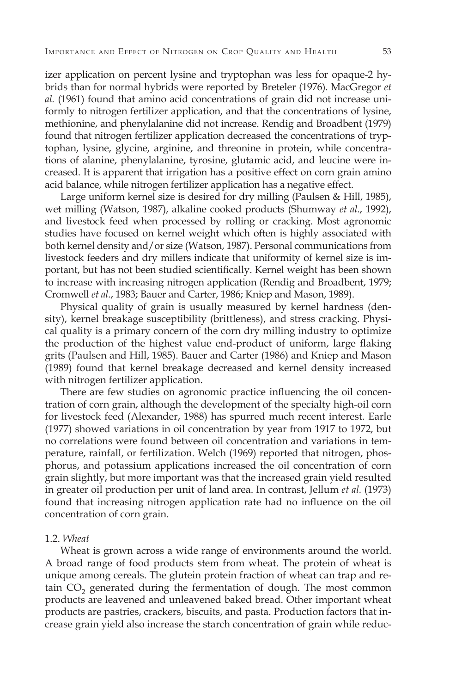izer application on percent lysine and tryptophan was less for opaque-2 hybrids than for normal hybrids were reported by Breteler (1976). MacGregor *et al.* (1961) found that amino acid concentrations of grain did not increase uniformly to nitrogen fertilizer application, and that the concentrations of lysine, methionine, and phenylalanine did not increase. Rendig and Broadbent (1979) found that nitrogen fertilizer application decreased the concentrations of tryptophan, lysine, glycine, arginine, and threonine in protein, while concentrations of alanine, phenylalanine, tyrosine, glutamic acid, and leucine were increased. It is apparent that irrigation has a positive effect on corn grain amino acid balance, while nitrogen fertilizer application has a negative effect.

Large uniform kernel size is desired for dry milling (Paulsen & Hill, 1985), wet milling (Watson, 1987), alkaline cooked products (Shumway *et al.*, 1992), and livestock feed when processed by rolling or cracking. Most agronomic studies have focused on kernel weight which often is highly associated with both kernel density and/or size (Watson, 1987). Personal communications from livestock feeders and dry millers indicate that uniformity of kernel size is important, but has not been studied scientifically. Kernel weight has been shown to increase with increasing nitrogen application (Rendig and Broadbent, 1979; Cromwell *et al.*, 1983; Bauer and Carter, 1986; Kniep and Mason, 1989).

Physical quality of grain is usually measured by kernel hardness (density), kernel breakage susceptibility (brittleness), and stress cracking. Physical quality is a primary concern of the corn dry milling industry to optimize the production of the highest value end-product of uniform, large flaking grits (Paulsen and Hill, 1985). Bauer and Carter (1986) and Kniep and Mason (1989) found that kernel breakage decreased and kernel density increased with nitrogen fertilizer application.

There are few studies on agronomic practice influencing the oil concentration of corn grain, although the development of the specialty high-oil corn for livestock feed (Alexander, 1988) has spurred much recent interest. Earle (1977) showed variations in oil concentration by year from 1917 to 1972, but no correlations were found between oil concentration and variations in temperature, rainfall, or fertilization. Welch (1969) reported that nitrogen, phosphorus, and potassium applications increased the oil concentration of corn grain slightly, but more important was that the increased grain yield resulted in greater oil production per unit of land area. In contrast, Jellum *et al.* (1973) found that increasing nitrogen application rate had no influence on the oil concentration of corn grain.

#### 1.2. *Wheat*

Wheat is grown across a wide range of environments around the world. A broad range of food products stem from wheat. The protein of wheat is unique among cereals. The glutein protein fraction of wheat can trap and retain  $CO<sub>2</sub>$  generated during the fermentation of dough. The most common products are leavened and unleavened baked bread. Other important wheat products are pastries, crackers, biscuits, and pasta. Production factors that increase grain yield also increase the starch concentration of grain while reduc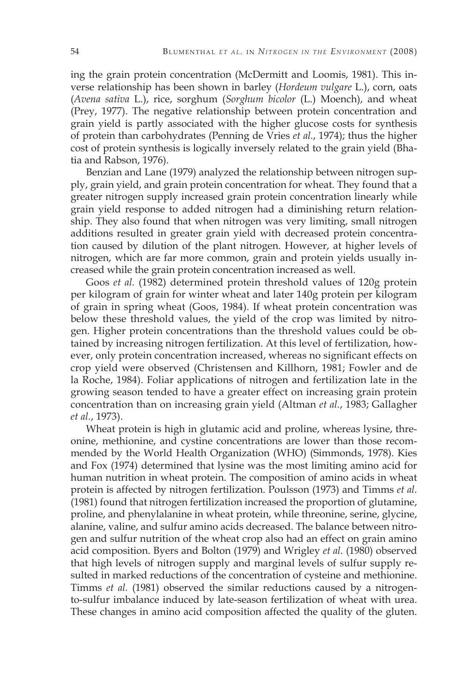ing the grain protein concentration (McDermitt and Loomis, 1981). This inverse relationship has been shown in barley (*Hordeum vulgare* L.), corn, oats (*Avena sativa* L.), rice, sorghum (*Sorghum bicolor* (L.) Moench), and wheat (Prey, 1977). The negative relationship between protein concentration and grain yield is partly associated with the higher glucose costs for synthesis of protein than carbohydrates (Penning de Vries *et al.*, 1974); thus the higher cost of protein synthesis is logically inversely related to the grain yield (Bhatia and Rabson, 1976).

Benzian and Lane (1979) analyzed the relationship between nitrogen supply, grain yield, and grain protein concentration for wheat. They found that a greater nitrogen supply increased grain protein concentration linearly while grain yield response to added nitrogen had a diminishing return relationship. They also found that when nitrogen was very limiting, small nitrogen additions resulted in greater grain yield with decreased protein concentration caused by dilution of the plant nitrogen. However, at higher levels of nitrogen, which are far more common, grain and protein yields usually increased while the grain protein concentration increased as well.

Goos *et al.* (1982) determined protein threshold values of 120g protein per kilogram of grain for winter wheat and later 140g protein per kilogram of grain in spring wheat (Goos, 1984). If wheat protein concentration was below these threshold values, the yield of the crop was limited by nitrogen. Higher protein concentrations than the threshold values could be obtained by increasing nitrogen fertilization. At this level of fertilization, however, only protein concentration increased, whereas no significant effects on crop yield were observed (Christensen and Killhorn, 1981; Fowler and de la Roche, 1984). Foliar applications of nitrogen and fertilization late in the growing season tended to have a greater effect on increasing grain protein concentration than on increasing grain yield (Altman *et al.*, 1983; Gallagher *et al.*, 1973).

Wheat protein is high in glutamic acid and proline, whereas lysine, threonine, methionine, and cystine concentrations are lower than those recommended by the World Health Organization (WHO) (Simmonds, 1978). Kies and Fox (1974) determined that lysine was the most limiting amino acid for human nutrition in wheat protein. The composition of amino acids in wheat protein is affected by nitrogen fertilization. Poulsson (1973) and Timms *et al.* (1981) found that nitrogen fertilization increased the proportion of glutamine, proline, and phenylalanine in wheat protein, while threonine, serine, glycine, alanine, valine, and sulfur amino acids decreased. The balance between nitrogen and sulfur nutrition of the wheat crop also had an effect on grain amino acid composition. Byers and Bolton (1979) and Wrigley *et al.* (1980) observed that high levels of nitrogen supply and marginal levels of sulfur supply resulted in marked reductions of the concentration of cysteine and methionine. Timms *et al.* (1981) observed the similar reductions caused by a nitrogento-sulfur imbalance induced by late-season fertilization of wheat with urea. These changes in amino acid composition affected the quality of the gluten.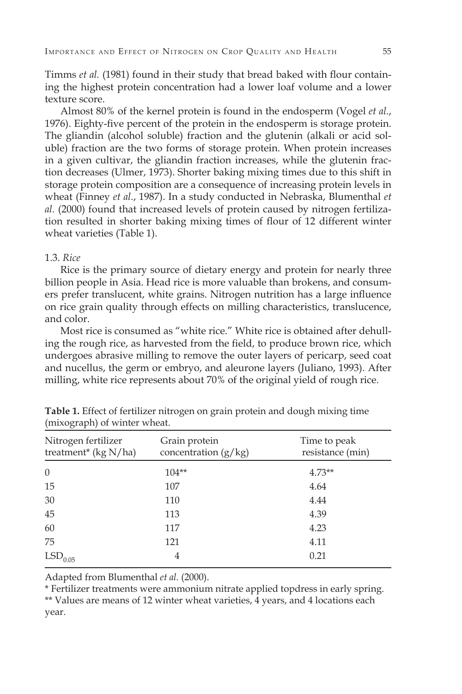Timms *et al.* (1981) found in their study that bread baked with flour containing the highest protein concentration had a lower loaf volume and a lower texture score.

Almost 80% of the kernel protein is found in the endosperm (Vogel *et al.*, 1976). Eighty-five percent of the protein in the endosperm is storage protein. The gliandin (alcohol soluble) fraction and the glutenin (alkali or acid soluble) fraction are the two forms of storage protein. When protein increases in a given cultivar, the gliandin fraction increases, while the glutenin fraction decreases (Ulmer, 1973). Shorter baking mixing times due to this shift in storage protein composition are a consequence of increasing protein levels in wheat (Finney *et al.*, 1987). In a study conducted in Nebraska, Blumenthal *et al.* (2000) found that increased levels of protein caused by nitrogen fertilization resulted in shorter baking mixing times of flour of 12 different winter wheat varieties (Table 1).

#### 1.3. *Rice*

Rice is the primary source of dietary energy and protein for nearly three billion people in Asia. Head rice is more valuable than brokens, and consumers prefer translucent, white grains. Nitrogen nutrition has a large influence on rice grain quality through effects on milling characteristics, translucence, and color.

Most rice is consumed as "white rice." White rice is obtained after dehulling the rough rice, as harvested from the field, to produce brown rice, which undergoes abrasive milling to remove the outer layers of pericarp, seed coat and nucellus, the germ or embryo, and aleurone layers (Juliano, 1993). After milling, white rice represents about 70% of the original yield of rough rice.

| Nitrogen fertilizer<br>treatment* (kg N/ha) | Grain protein<br>concentration $(g/kg)$ | Time to peak<br>resistance (min) |  |  |
|---------------------------------------------|-----------------------------------------|----------------------------------|--|--|
| $\theta$                                    | $104**$                                 | $4.73**$                         |  |  |
| 15                                          | 107                                     | 4.64                             |  |  |
| 30                                          | 110                                     | 4.44                             |  |  |
| 45                                          | 113                                     | 4.39                             |  |  |
| 60                                          | 117                                     | 4.23                             |  |  |
| 75                                          | 121                                     | 4.11                             |  |  |
| $\mathrm{LSD}_{0.05}$                       | 4                                       | 0.21                             |  |  |

**Table 1.** Effect of fertilizer nitrogen on grain protein and dough mixing time (mixograph) of winter wheat.

Adapted from Blumenthal *et al.* (2000).

\* Fertilizer treatments were ammonium nitrate applied topdress in early spring.

\*\* Values are means of 12 winter wheat varieties, 4 years, and 4 locations each year.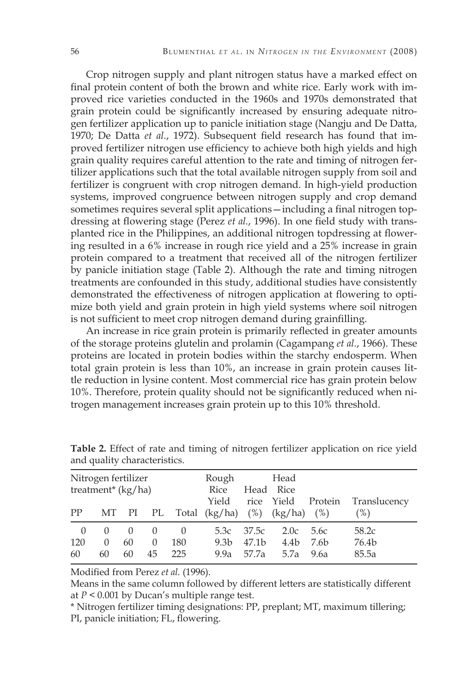Crop nitrogen supply and plant nitrogen status have a marked effect on final protein content of both the brown and white rice. Early work with improved rice varieties conducted in the 1960s and 1970s demonstrated that grain protein could be significantly increased by ensuring adequate nitrogen fertilizer application up to panicle initiation stage (Nangju and De Datta, 1970; De Datta *et al.*, 1972). Subsequent field research has found that improved fertilizer nitrogen use efficiency to achieve both high yields and high grain quality requires careful attention to the rate and timing of nitrogen fertilizer applications such that the total available nitrogen supply from soil and fertilizer is congruent with crop nitrogen demand. In high-yield production systems, improved congruence between nitrogen supply and crop demand sometimes requires several split applications—including a final nitrogen topdressing at flowering stage (Perez *et al.*, 1996). In one field study with transplanted rice in the Philippines, an additional nitrogen topdressing at flowering resulted in a 6% increase in rough rice yield and a 25% increase in grain protein compared to a treatment that received all of the nitrogen fertilizer by panicle initiation stage (Table 2). Although the rate and timing nitrogen treatments are confounded in this study, additional studies have consistently demonstrated the effectiveness of nitrogen application at flowering to optimize both yield and grain protein in high yield systems where soil nitrogen is not sufficient to meet crop nitrogen demand during grainfilling.

An increase in rice grain protein is primarily reflected in greater amounts of the storage proteins glutelin and prolamin (Cagampang *et al.*, 1966). These proteins are located in protein bodies within the starchy endosperm. When total grain protein is less than 10%, an increase in grain protein causes little reduction in lysine content. Most commercial rice has grain protein below 10%. Therefore, protein quality should not be significantly reduced when nitrogen management increases grain protein up to this 10% threshold.

| Nitrogen fertilizer<br>treatment <sup>*</sup> ( $kg/ha$ ) |                  |    |          | Rough<br>Rice    | Head                                            | Head<br>Rice |                    |                  |                     |
|-----------------------------------------------------------|------------------|----|----------|------------------|-------------------------------------------------|--------------|--------------------|------------------|---------------------|
| PP                                                        |                  |    |          |                  | Yield<br>MT PI PL Total (kg/ha) (%) (kg/ha) (%) |              | rice Yield Protein |                  | Translucency<br>(%) |
| $\left($                                                  | $\left( \right)$ |    | $\theta$ | $\left( \right)$ | 5.3c                                            | - 37.5c      | 2.0c               | 5.6c             | 58.2c               |
| 120                                                       | 0                | 60 | $\Omega$ | 180              | 9.3 <sub>b</sub>                                | 47.1b        | 4.4 <sub>b</sub>   | 7.6 <sub>b</sub> | 76.4b               |
| 60                                                        | 60               | 60 | 45       | 225              | 9.9a                                            | 57.7a        | 5.7a               | 9.6a             | 85.5a               |

**Table 2.** Effect of rate and timing of nitrogen fertilizer application on rice yield and quality characteristics.

Modified from Perez *et al.* (1996).

Means in the same column followed by different letters are statistically different at *P* < 0.001 by Ducan's multiple range test.

\* Nitrogen fertilizer timing designations: PP, preplant; MT, maximum tillering; PI, panicle initiation; FL, flowering.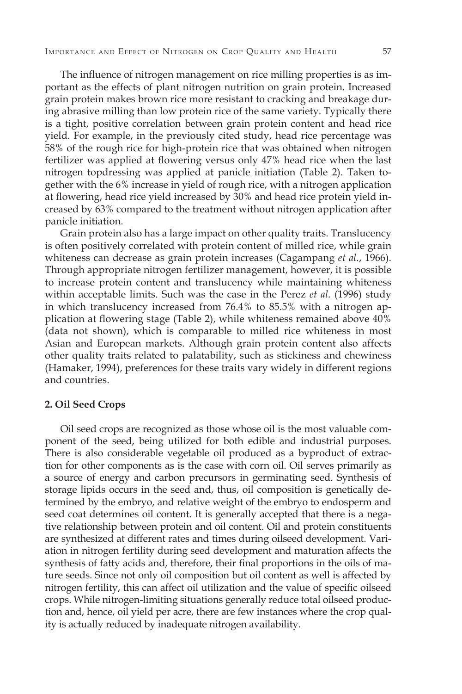The influence of nitrogen management on rice milling properties is as important as the effects of plant nitrogen nutrition on grain protein. Increased grain protein makes brown rice more resistant to cracking and breakage during abrasive milling than low protein rice of the same variety. Typically there is a tight, positive correlation between grain protein content and head rice yield. For example, in the previously cited study, head rice percentage was 58% of the rough rice for high-protein rice that was obtained when nitrogen fertilizer was applied at flowering versus only 47% head rice when the last nitrogen topdressing was applied at panicle initiation (Table 2). Taken together with the 6% increase in yield of rough rice, with a nitrogen application at flowering, head rice yield increased by 30% and head rice protein yield increased by 63% compared to the treatment without nitrogen application after panicle initiation.

Grain protein also has a large impact on other quality traits. Translucency is often positively correlated with protein content of milled rice, while grain whiteness can decrease as grain protein increases (Cagampang *et al.*, 1966). Through appropriate nitrogen fertilizer management, however, it is possible to increase protein content and translucency while maintaining whiteness within acceptable limits. Such was the case in the Perez *et al.* (1996) study in which translucency increased from 76.4% to 85.5% with a nitrogen application at flowering stage (Table 2), while whiteness remained above 40% (data not shown), which is comparable to milled rice whiteness in most Asian and European markets. Although grain protein content also affects other quality traits related to palatability, such as stickiness and chewiness (Hamaker, 1994), preferences for these traits vary widely in different regions and countries.

#### **2. Oil Seed Crops**

Oil seed crops are recognized as those whose oil is the most valuable component of the seed, being utilized for both edible and industrial purposes. There is also considerable vegetable oil produced as a byproduct of extraction for other components as is the case with corn oil. Oil serves primarily as a source of energy and carbon precursors in germinating seed. Synthesis of storage lipids occurs in the seed and, thus, oil composition is genetically determined by the embryo, and relative weight of the embryo to endosperm and seed coat determines oil content. It is generally accepted that there is a negative relationship between protein and oil content. Oil and protein constituents are synthesized at different rates and times during oilseed development. Variation in nitrogen fertility during seed development and maturation affects the synthesis of fatty acids and, therefore, their final proportions in the oils of mature seeds. Since not only oil composition but oil content as well is affected by nitrogen fertility, this can affect oil utilization and the value of specific oilseed crops. While nitrogen-limiting situations generally reduce total oilseed production and, hence, oil yield per acre, there are few instances where the crop quality is actually reduced by inadequate nitrogen availability.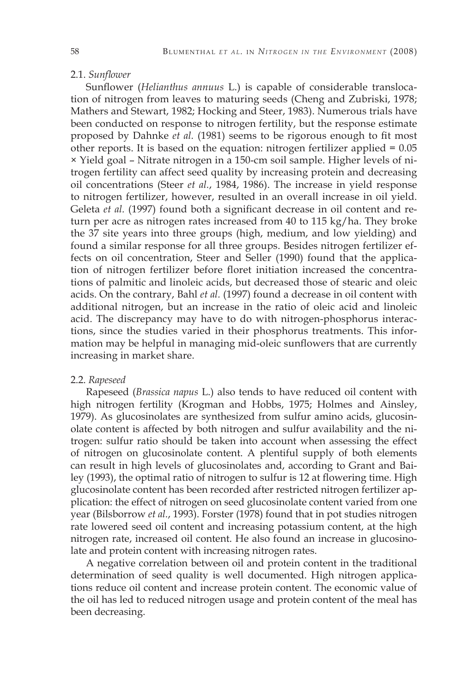### 2.1. *Sunflower*

Sunflower (*Helianthus annuus* L.) is capable of considerable translocation of nitrogen from leaves to maturing seeds (Cheng and Zubriski, 1978; Mathers and Stewart, 1982; Hocking and Steer, 1983). Numerous trials have been conducted on response to nitrogen fertility, but the response estimate proposed by Dahnke *et al.* (1981) seems to be rigorous enough to fit most other reports. It is based on the equation: nitrogen fertilizer applied = 0.05 × Yield goal – Nitrate nitrogen in a 150-cm soil sample. Higher levels of nitrogen fertility can affect seed quality by increasing protein and decreasing oil concentrations (Steer *et al.*, 1984, 1986). The increase in yield response to nitrogen fertilizer, however, resulted in an overall increase in oil yield. Geleta *et al.* (1997) found both a significant decrease in oil content and return per acre as nitrogen rates increased from 40 to 115 kg/ha. They broke the 37 site years into three groups (high, medium, and low yielding) and found a similar response for all three groups. Besides nitrogen fertilizer effects on oil concentration, Steer and Seller (1990) found that the application of nitrogen fertilizer before floret initiation increased the concentrations of palmitic and linoleic acids, but decreased those of stearic and oleic acids. On the contrary, Bahl *et al.* (1997) found a decrease in oil content with additional nitrogen, but an increase in the ratio of oleic acid and linoleic acid. The discrepancy may have to do with nitrogen-phosphorus interactions, since the studies varied in their phosphorus treatments. This information may be helpful in managing mid-oleic sunflowers that are currently increasing in market share.

#### 2.2. *Rapeseed*

Rapeseed (*Brassica napus* L.) also tends to have reduced oil content with high nitrogen fertility (Krogman and Hobbs, 1975; Holmes and Ainsley, 1979). As glucosinolates are synthesized from sulfur amino acids, glucosinolate content is affected by both nitrogen and sulfur availability and the nitrogen: sulfur ratio should be taken into account when assessing the effect of nitrogen on glucosinolate content. A plentiful supply of both elements can result in high levels of glucosinolates and, according to Grant and Bailey (1993), the optimal ratio of nitrogen to sulfur is 12 at flowering time. High glucosinolate content has been recorded after restricted nitrogen fertilizer application: the effect of nitrogen on seed glucosinolate content varied from one year (Bilsborrow *et al.*, 1993). Forster (1978) found that in pot studies nitrogen rate lowered seed oil content and increasing potassium content, at the high nitrogen rate, increased oil content. He also found an increase in glucosinolate and protein content with increasing nitrogen rates.

A negative correlation between oil and protein content in the traditional determination of seed quality is well documented. High nitrogen applications reduce oil content and increase protein content. The economic value of the oil has led to reduced nitrogen usage and protein content of the meal has been decreasing.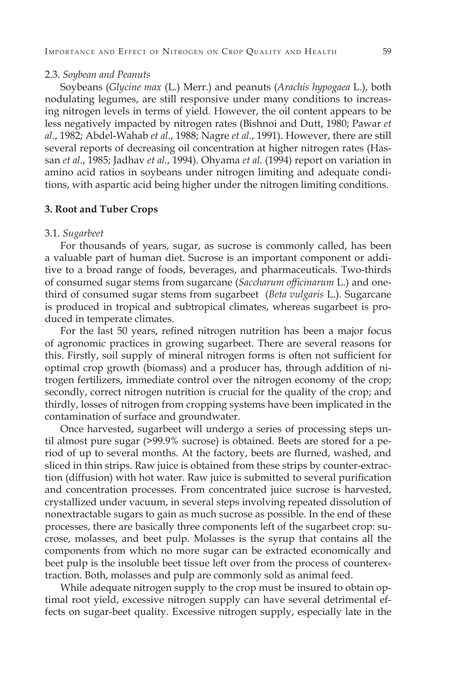#### 2.3. *Soybean and Peanuts*

Soybeans (*Glycine max* (L.) Merr.) and peanuts (*Arachis hypogaea* L.), both nodulating legumes, are still responsive under many conditions to increasing nitrogen levels in terms of yield. However, the oil content appears to be less negatively impacted by nitrogen rates (Bishnoi and Dutt, 1980; Pawar *et al.*, 1982; Abdel-Wahab *et al.*, 1988; Nagre *et al.*, 1991). However, there are still several reports of decreasing oil concentration at higher nitrogen rates (Hassan *et al.*, 1985; Jadhav *et al.*, 1994). Ohyama *et al.* (1994) report on variation in amino acid ratios in soybeans under nitrogen limiting and adequate conditions, with aspartic acid being higher under the nitrogen limiting conditions.

### **3. Root and Tuber Crops**

#### 3.1. *Sugarbeet*

For thousands of years, sugar, as sucrose is commonly called, has been a valuable part of human diet. Sucrose is an important component or additive to a broad range of foods, beverages, and pharmaceuticals. Two-thirds of consumed sugar stems from sugarcane (*Saccharum officinarum* L.) and onethird of consumed sugar stems from sugarbeet (*Beta vulgaris* L.). Sugarcane is produced in tropical and subtropical climates, whereas sugarbeet is produced in temperate climates.

For the last 50 years, refined nitrogen nutrition has been a major focus of agronomic practices in growing sugarbeet. There are several reasons for this. Firstly, soil supply of mineral nitrogen forms is often not sufficient for optimal crop growth (biomass) and a producer has, through addition of nitrogen fertilizers, immediate control over the nitrogen economy of the crop; secondly, correct nitrogen nutrition is crucial for the quality of the crop; and thirdly, losses of nitrogen from cropping systems have been implicated in the contamination of surface and groundwater.

Once harvested, sugarbeet will undergo a series of processing steps until almost pure sugar (>99.9% sucrose) is obtained. Beets are stored for a period of up to several months. At the factory, beets are flurned, washed, and sliced in thin strips. Raw juice is obtained from these strips by counter-extraction (diffusion) with hot water. Raw juice is submitted to several purification and concentration processes. From concentrated juice sucrose is harvested, crystallized under vacuum, in several steps involving repeated dissolution of nonextractable sugars to gain as much sucrose as possible. In the end of these processes, there are basically three components left of the sugarbeet crop: sucrose, molasses, and beet pulp. Molasses is the syrup that contains all the components from which no more sugar can be extracted economically and beet pulp is the insoluble beet tissue left over from the process of counterextraction. Both, molasses and pulp are commonly sold as animal feed.

While adequate nitrogen supply to the crop must be insured to obtain optimal root yield, excessive nitrogen supply can have several detrimental effects on sugar-beet quality. Excessive nitrogen supply, especially late in the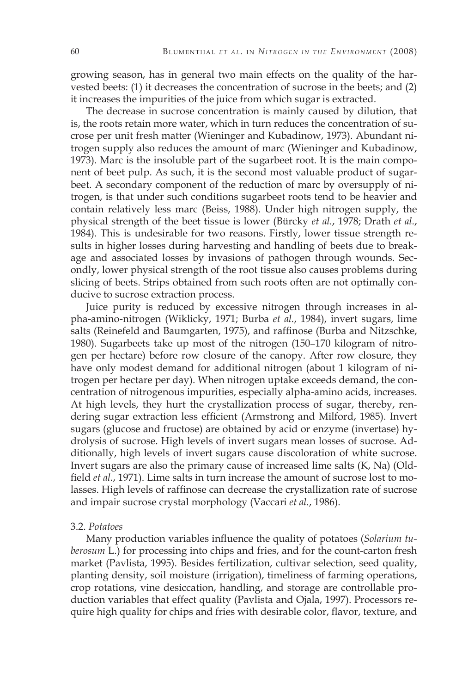growing season, has in general two main effects on the quality of the harvested beets: (1) it decreases the concentration of sucrose in the beets; and (2) it increases the impurities of the juice from which sugar is extracted.

The decrease in sucrose concentration is mainly caused by dilution, that is, the roots retain more water, which in turn reduces the concentration of sucrose per unit fresh matter (Wieninger and Kubadinow, 1973). Abundant nitrogen supply also reduces the amount of marc (Wieninger and Kubadinow, 1973). Marc is the insoluble part of the sugarbeet root. It is the main component of beet pulp. As such, it is the second most valuable product of sugarbeet. A secondary component of the reduction of marc by oversupply of nitrogen, is that under such conditions sugarbeet roots tend to be heavier and contain relatively less marc (Beiss, 1988). Under high nitrogen supply, the physical strength of the beet tissue is lower (Bürcky *et al.*, 1978; Drath *et al.*, 1984). This is undesirable for two reasons. Firstly, lower tissue strength results in higher losses during harvesting and handling of beets due to breakage and associated losses by invasions of pathogen through wounds. Secondly, lower physical strength of the root tissue also causes problems during slicing of beets. Strips obtained from such roots often are not optimally conducive to sucrose extraction process.

Juice purity is reduced by excessive nitrogen through increases in alpha-amino-nitrogen (Wiklicky, 1971; Burba *et al.*, 1984), invert sugars, lime salts (Reinefeld and Baumgarten, 1975), and raffinose (Burba and Nitzschke, 1980). Sugarbeets take up most of the nitrogen (150–170 kilogram of nitrogen per hectare) before row closure of the canopy. After row closure, they have only modest demand for additional nitrogen (about 1 kilogram of nitrogen per hectare per day). When nitrogen uptake exceeds demand, the concentration of nitrogenous impurities, especially alpha-amino acids, increases. At high levels, they hurt the crystallization process of sugar, thereby, rendering sugar extraction less efficient (Armstrong and Milford, 1985). Invert sugars (glucose and fructose) are obtained by acid or enzyme (invertase) hydrolysis of sucrose. High levels of invert sugars mean losses of sucrose. Additionally, high levels of invert sugars cause discoloration of white sucrose. Invert sugars are also the primary cause of increased lime salts (K, Na) (Oldfield *et al.*, 1971). Lime salts in turn increase the amount of sucrose lost to molasses. High levels of raffinose can decrease the crystallization rate of sucrose and impair sucrose crystal morphology (Vaccari *et al.*, 1986).

### 3.2. *Potatoes*

Many production variables influence the quality of potatoes (*Solarium tuberosum* L.) for processing into chips and fries, and for the count-carton fresh market (Pavlista, 1995). Besides fertilization, cultivar selection, seed quality, planting density, soil moisture (irrigation), timeliness of farming operations, crop rotations, vine desiccation, handling, and storage are controllable production variables that effect quality (Pavlista and Ojala, 1997). Processors require high quality for chips and fries with desirable color, flavor, texture, and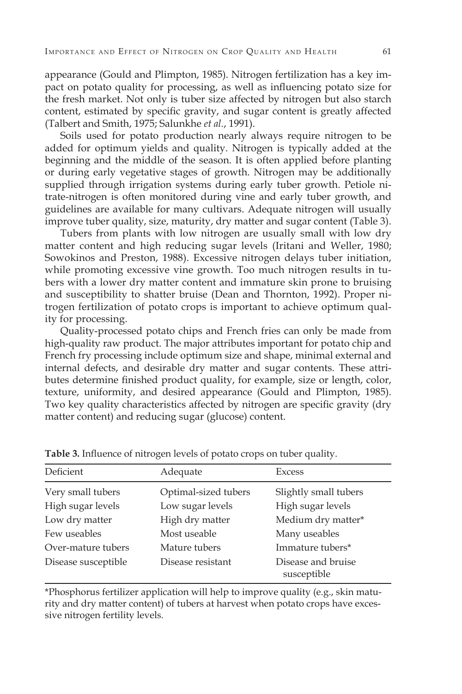appearance (Gould and Plimpton, 1985). Nitrogen fertilization has a key impact on potato quality for processing, as well as influencing potato size for the fresh market. Not only is tuber size affected by nitrogen but also starch content, estimated by specific gravity, and sugar content is greatly affected (Talbert and Smith, 1975; Salunkhe *et al.*, 1991).

Soils used for potato production nearly always require nitrogen to be added for optimum yields and quality. Nitrogen is typically added at the beginning and the middle of the season. It is often applied before planting or during early vegetative stages of growth. Nitrogen may be additionally supplied through irrigation systems during early tuber growth. Petiole nitrate-nitrogen is often monitored during vine and early tuber growth, and guidelines are available for many cultivars. Adequate nitrogen will usually improve tuber quality, size, maturity, dry matter and sugar content (Table 3).

Tubers from plants with low nitrogen are usually small with low dry matter content and high reducing sugar levels (Iritani and Weller, 1980; Sowokinos and Preston, 1988). Excessive nitrogen delays tuber initiation, while promoting excessive vine growth. Too much nitrogen results in tubers with a lower dry matter content and immature skin prone to bruising and susceptibility to shatter bruise (Dean and Thornton, 1992). Proper nitrogen fertilization of potato crops is important to achieve optimum quality for processing.

Quality-processed potato chips and French fries can only be made from high-quality raw product. The major attributes important for potato chip and French fry processing include optimum size and shape, minimal external and internal defects, and desirable dry matter and sugar contents. These attributes determine finished product quality, for example, size or length, color, texture, uniformity, and desired appearance (Gould and Plimpton, 1985). Two key quality characteristics affected by nitrogen are specific gravity (dry matter content) and reducing sugar (glucose) content.

| Deficient           | Adequate             | Excess                            |
|---------------------|----------------------|-----------------------------------|
| Very small tubers   | Optimal-sized tubers | Slightly small tubers             |
| High sugar levels   | Low sugar levels     | High sugar levels                 |
| Low dry matter      | High dry matter      | Medium dry matter*                |
| Few useables        | Most useable         | Many useables                     |
| Over-mature tubers  | Mature tubers        | Immature tubers*                  |
| Disease susceptible | Disease resistant    | Disease and bruise<br>susceptible |

**Table 3.** Influence of nitrogen levels of potato crops on tuber quality.

\*Phosphorus fertilizer application will help to improve quality (e.g., skin maturity and dry matter content) of tubers at harvest when potato crops have excessive nitrogen fertility levels.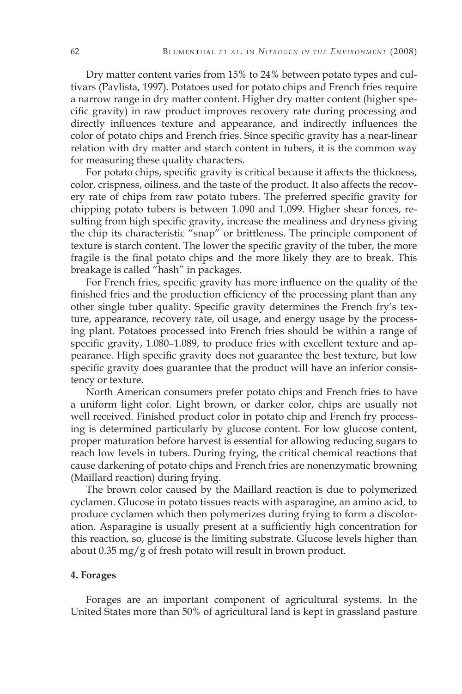Dry matter content varies from 15% to 24% between potato types and cultivars (Pavlista, 1997). Potatoes used for potato chips and French fries require a narrow range in dry matter content. Higher dry matter content (higher specific gravity) in raw product improves recovery rate during processing and directly influences texture and appearance, and indirectly influences the color of potato chips and French fries. Since specific gravity has a near-linear relation with dry matter and starch content in tubers, it is the common way for measuring these quality characters.

For potato chips, specific gravity is critical because it affects the thickness, color, crispness, oiliness, and the taste of the product. It also affects the recovery rate of chips from raw potato tubers. The preferred specific gravity for chipping potato tubers is between 1.090 and 1.099. Higher shear forces, resulting from high specific gravity, increase the mealiness and dryness giving the chip its characteristic "snap" or brittleness. The principle component of texture is starch content. The lower the specific gravity of the tuber, the more fragile is the final potato chips and the more likely they are to break. This breakage is called "hash" in packages.

For French fries, specific gravity has more influence on the quality of the finished fries and the production efficiency of the processing plant than any other single tuber quality. Specific gravity determines the French fry's texture, appearance, recovery rate, oil usage, and energy usage by the processing plant. Potatoes processed into French fries should be within a range of specific gravity, 1.080–1.089, to produce fries with excellent texture and appearance. High specific gravity does not guarantee the best texture, but low specific gravity does guarantee that the product will have an inferior consistency or texture.

North American consumers prefer potato chips and French fries to have a uniform light color. Light brown, or darker color, chips are usually not well received. Finished product color in potato chip and French fry processing is determined particularly by glucose content. For low glucose content, proper maturation before harvest is essential for allowing reducing sugars to reach low levels in tubers. During frying, the critical chemical reactions that cause darkening of potato chips and French fries are nonenzymatic browning (Maillard reaction) during frying.

The brown color caused by the Maillard reaction is due to polymerized cyclamen. Glucose in potato tissues reacts with asparagine, an amino acid, to produce cyclamen which then polymerizes during frying to form a discoloration. Asparagine is usually present at a sufficiently high concentration for this reaction, so, glucose is the limiting substrate. Glucose levels higher than about 0.35 mg/g of fresh potato will result in brown product.

#### **4. Forages**

Forages are an important component of agricultural systems. In the United States more than 50% of agricultural land is kept in grassland pasture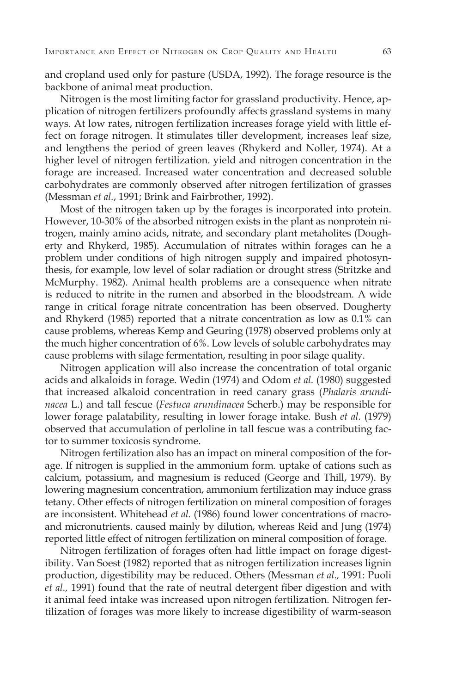and cropland used only for pasture (USDA, 1992). The forage resource is the backbone of animal meat production.

Nitrogen is the most limiting factor for grassland productivity. Hence, application of nitrogen fertilizers profoundly affects grassland systems in many ways. At low rates, nitrogen fertilization increases forage yield with little effect on forage nitrogen. It stimulates tiller development, increases leaf size, and lengthens the period of green leaves (Rhykerd and Noller, 1974). At a higher level of nitrogen fertilization. yield and nitrogen concentration in the forage are increased. Increased water concentration and decreased soluble carbohydrates are commonly observed after nitrogen fertilization of grasses (Messman *et al.*, 1991; Brink and Fairbrother, 1992).

Most of the nitrogen taken up by the forages is incorporated into protein. However, 10-30% of the absorbed nitrogen exists in the plant as nonprotein nitrogen, mainly amino acids, nitrate, and secondary plant metaholites (Dougherty and Rhykerd, 1985). Accumulation of nitrates within forages can he a problem under conditions of high nitrogen supply and impaired photosynthesis, for example, low level of solar radiation or drought stress (Stritzke and McMurphy. 1982). Animal health problems are a consequence when nitrate is reduced to nitrite in the rumen and absorbed in the bloodstream. A wide range in critical forage nitrate concentration has been observed. Dougherty and Rhykerd (1985) reported that a nitrate concentration as low as 0.1% can cause problems, whereas Kemp and Geuring (1978) observed problems only at the much higher concentration of 6%. Low levels of soluble carbohydrates may cause problems with silage fermentation, resulting in poor silage quality.

Nitrogen application will also increase the concentration of total organic acids and alkaloids in forage. Wedin (1974) and Odom *et al.* (1980) suggested that increased alkaloid concentration in reed canary grass (*Phalaris arundinacea* L.) and tall fescue (*Festuca arundinacea* Scherb.) may be responsible for lower forage palatability, resulting in lower forage intake. Bush *et al.* (1979) observed that accumulation of perloline in tall fescue was a contributing factor to summer toxicosis syndrome.

Nitrogen fertilization also has an impact on mineral composition of the forage. If nitrogen is supplied in the ammonium form. uptake of cations such as calcium, potassium, and magnesium is reduced (George and Thill, 1979). By lowering magnesium concentration, ammonium fertilization may induce grass tetany. Other effects of nitrogen fertilization on mineral composition of forages are inconsistent. Whitehead *et al.* (1986) found lower concentrations of macroand micronutrients. caused mainly by dilution, whereas Reid and Jung (1974) reported little effect of nitrogen fertilization on mineral composition of forage.

Nitrogen fertilization of forages often had little impact on forage digestibility. Van Soest (1982) reported that as nitrogen fertilization increases lignin production, digestibility may be reduced. Others (Messman *et al.,* 1991: Puoli *et al.,* 1991) found that the rate of neutral detergent fiber digestion and with it animal feed intake was increased upon nitrogen fertilization. Nitrogen fertilization of forages was more likely to increase digestibility of warm-season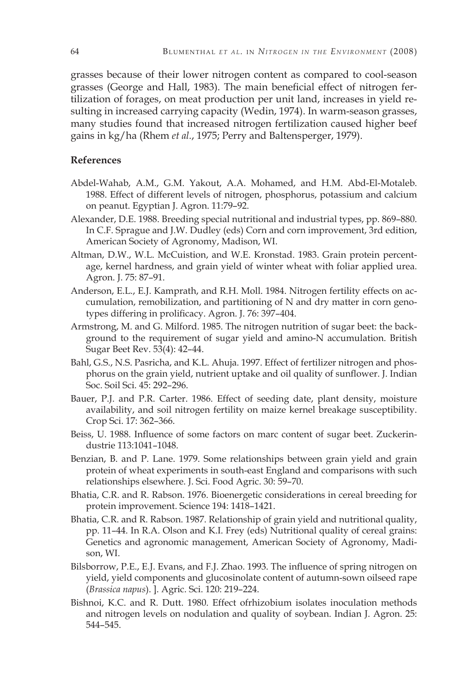grasses because of their lower nitrogen content as compared to cool-season grasses (George and Hall, 1983). The main beneficial effect of nitrogen fertilization of forages, on meat production per unit land, increases in yield resulting in increased carrying capacity (Wedin, 1974). In warm-season grasses, many studies found that increased nitrogen fertilization caused higher beef gains in kg/ha (Rhem *et al.*, 1975; Perry and Baltensperger, 1979).

## **References**

- Abdel-Wahab, A.M., G.M. Yakout, A.A. Mohamed, and H.M. Abd-El-Motaleb. 1988. Effect of different levels of nitrogen, phosphorus, potassium and calcium on peanut. Egyptian J. Agron. 11:79–92.
- Alexander, D.E. 1988. Breeding special nutritional and industrial types, pp. 869–880. In C.F. Sprague and J.W. Dudley (eds) Corn and corn improvement, 3rd edition, American Society of Agronomy, Madison, WI.
- Altman, D.W., W.L. McCuistion, and W.E. Kronstad. 1983. Grain protein percentage, kernel hardness, and grain yield of winter wheat with foliar applied urea. Agron. J. 75: 87–91.
- Anderson, E.L., E.J. Kamprath, and R.H. Moll. 1984. Nitrogen fertility effects on accumulation, remobilization, and partitioning of N and dry matter in corn genotypes differing in prolificacy. Agron. J. 76: 397–404.
- Armstrong, M. and G. Milford. 1985. The nitrogen nutrition of sugar beet: the background to the requirement of sugar yield and amino-N accumulation. British Sugar Beet Rev. 53(4): 42–44.
- Bahl, G.S., N.S. Pasricha, and K.L. Ahuja. 1997. Effect of fertilizer nitrogen and phosphorus on the grain yield, nutrient uptake and oil quality of sunflower. J. Indian Soc. Soil Sci. 45: 292–296.
- Bauer, P.J. and P.R. Carter. 1986. Effect of seeding date, plant density, moisture availability, and soil nitrogen fertility on maize kernel breakage susceptibility. Crop Sci. 17: 362–366.
- Beiss, U. 1988. Influence of some factors on marc content of sugar beet. Zuckerindustrie 113:1041–1048.
- Benzian, B. and P. Lane. 1979. Some relationships between grain yield and grain protein of wheat experiments in south-east England and comparisons with such relationships elsewhere. J. Sci. Food Agric. 30: 59–70.
- Bhatia, C.R. and R. Rabson. 1976. Bioenergetic considerations in cereal breeding for protein improvement. Science 194: 1418–1421.
- Bhatia, C.R. and R. Rabson. 1987. Relationship of grain yield and nutritional quality, pp. 11–44. In R.A. Olson and K.I. Frey (eds) Nutritional quality of cereal grains: Genetics and agronomic management, American Society of Agronomy, Madison, WI.
- Bilsborrow, P.E., E.J. Evans, and F.J. Zhao. 1993. The influence of spring nitrogen on yield, yield components and glucosinolate content of autumn-sown oilseed rape (*Brassica napus*). ]. Agric. Sci. 120: 219–224.
- Bishnoi, K.C. and R. Dutt. 1980. Effect ofrhizobium isolates inoculation methods and nitrogen levels on nodulation and quality of soybean. Indian J. Agron. 25: 544–545.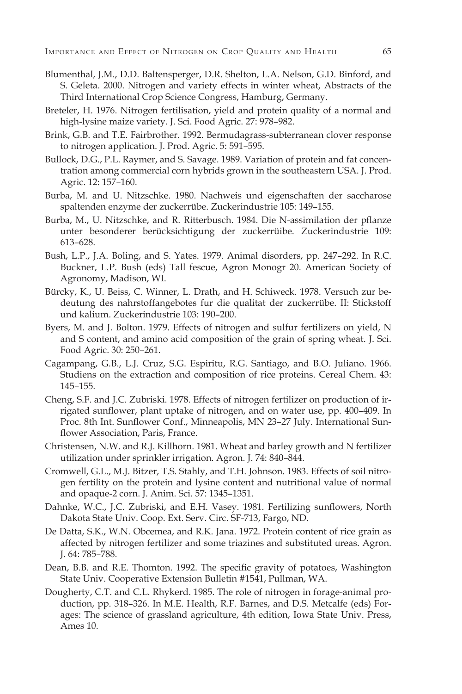- Blumenthal, J.M., D.D. Baltensperger, D.R. Shelton, L.A. Nelson, G.D. Binford, and S. Geleta. 2000. Nitrogen and variety effects in winter wheat, Abstracts of the Third International Crop Science Congress, Hamburg, Germany.
- Breteler, H. 1976. Nitrogen fertilisation, yield and protein quality of a normal and high-lysine maize variety. J. Sci. Food Agric. 27: 978–982.
- Brink, G.B. and T.E. Fairbrother. 1992. Bermudagrass-subterranean clover response to nitrogen application. J. Prod. Agric. 5: 591–595.
- Bullock, D.G., P.L. Raymer, and S. Savage. 1989. Variation of protein and fat concentration among commercial corn hybrids grown in the southeastern USA. J. Prod. Agric. 12: 157–160.
- Burba, M. and U. Nitzschke. 1980. Nachweis und eigenschaften der saccharose spaltenden enzyme der zuckerrübe. Zuckerindustrie 105: 149–155.
- Burba, M., U. Nitzschke, and R. Ritterbusch. 1984. Die N-assimilation der pflanze unter besonderer berücksichtigung der zuckerrüibe. Zuckerindustrie 109: 613–628.
- Bush, L.P., J.A. Boling, and S. Yates. 1979. Animal disorders, pp. 247–292. In R.C. Buckner, L.P. Bush (eds) Tall fescue, Agron Monogr 20. American Society of Agronomy, Madison, WI.
- Bürcky, K., U. Beiss, C. Winner, L. Drath, and H. Schiweck. 1978. Versuch zur bedeutung des nahrstoffangebotes fur die qualitat der zuckerrübe. II: Stickstoff und kalium. Zuckerindustrie 103: 190–200.
- Byers, M. and J. Bolton. 1979. Effects of nitrogen and sulfur fertilizers on yield, N and S content, and amino acid composition of the grain of spring wheat. J. Sci. Food Agric. 30: 250–261.
- Cagampang, G.B., L.J. Cruz, S.G. Espiritu, R.G. Santiago, and B.O. Juliano. 1966. Studiens on the extraction and composition of rice proteins. Cereal Chem. 43: 145–155.
- Cheng, S.F. and J.C. Zubriski. 1978. Effects of nitrogen fertilizer on production of irrigated sunflower, plant uptake of nitrogen, and on water use, pp. 400–409. In Proc. 8th Int. Sunflower Conf., Minneapolis, MN 23–27 July. International Sunflower Association, Paris, France.
- Christensen, N.W. and R.J. Killhorn. 1981. Wheat and barley growth and N fertilizer utilization under sprinkler irrigation. Agron. J. 74: 840–844.
- Cromwell, G.L., M.J. Bitzer, T.S. Stahly, and T.H. Johnson. 1983. Effects of soil nitrogen fertility on the protein and lysine content and nutritional value of normal and opaque-2 corn. J. Anim. Sci. 57: 1345–1351.
- Dahnke, W.C., J.C. Zubriski, and E.H. Vasey. 1981. Fertilizing sunflowers, North Dakota State Univ. Coop. Ext. Serv. Circ. SF-713, Fargo, ND.
- De Datta, S.K., W.N. Obcemea, and R.K. Jana. 1972. Protein content of rice grain as affected by nitrogen fertilizer and some triazines and substituted ureas. Agron. J. 64: 785–788.
- Dean, B.B. and R.E. Thomton. 1992. The specific gravity of potatoes, Washington State Univ. Cooperative Extension Bulletin #1541, Pullman, WA.
- Dougherty, C.T. and C.L. Rhykerd. 1985. The role of nitrogen in forage-animal production, pp. 318–326. In M.E. Health, R.F. Barnes, and D.S. Metcalfe (eds) Forages: The science of grassland agriculture, 4th edition, Iowa State Univ. Press, Ames 10.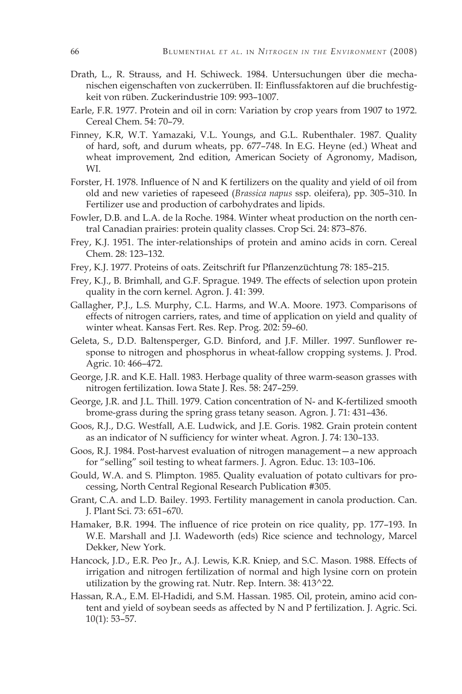- Drath, L., R. Strauss, and H. Schiweck. 1984. Untersuchungen über die mechanischen eigenschaften von zuckerrüben. II: Einflussfaktoren auf die bruchfestigkeit von rüben. Zuckerindustrie 109: 993–1007.
- Earle, F.R. 1977. Protein and oil in corn: Variation by crop years from 1907 to 1972. Cereal Chem. 54: 70–79.
- Finney, K.R, W.T. Yamazaki, V.L. Youngs, and G.L. Rubenthaler. 1987. Quality of hard, soft, and durum wheats, pp. 677–748. In E.G. Heyne (ed.) Wheat and wheat improvement, 2nd edition, American Society of Agronomy, Madison, WI.
- Forster, H. 1978. Influence of N and K fertilizers on the quality and yield of oil from old and new varieties of rapeseed (*Brassica napus* ssp. oleifera), pp. 305–310. In Fertilizer use and production of carbohydrates and lipids.
- Fowler, D.B. and L.A. de la Roche. 1984. Winter wheat production on the north central Canadian prairies: protein quality classes. Crop Sci. 24: 873–876.
- Frey, K.J. 1951. The inter-relationships of protein and amino acids in corn. Cereal Chem. 28: 123–132.
- Frey, K.J. 1977. Proteins of oats. Zeitschrift fur Pflanzenzüchtung 78: 185–215.
- Frey, K.J., B. Brimhall, and G.F. Sprague. 1949. The effects of selection upon protein quality in the corn kernel. Agron. J. 41: 399.
- Gallagher, P.J., L.S. Murphy, C.L. Harms, and W.A. Moore. 1973. Comparisons of effects of nitrogen carriers, rates, and time of application on yield and quality of winter wheat. Kansas Fert. Res. Rep. Prog. 202: 59–60.
- Geleta, S., D.D. Baltensperger, G.D. Binford, and J.F. Miller. 1997. Sunflower response to nitrogen and phosphorus in wheat-fallow cropping systems. J. Prod. Agric. 10: 466–472.
- George, J.R. and K.E. Hall. 1983. Herbage quality of three warm-season grasses with nitrogen fertilization. Iowa State J. Res. 58: 247–259.
- George, J.R. and J.L. Thill. 1979. Cation concentration of N- and K-fertilized smooth brome-grass during the spring grass tetany season. Agron. J. 71: 431–436.
- Goos, R.J., D.G. Westfall, A.E. Ludwick, and J.E. Goris. 1982. Grain protein content as an indicator of N sufficiency for winter wheat. Agron. J. 74: 130–133.
- Goos, R.J. 1984. Post-harvest evaluation of nitrogen management—a new approach for "selling" soil testing to wheat farmers. J. Agron. Educ. 13: 103–106.
- Gould, W.A. and S. Plimpton. 1985. Quality evaluation of potato cultivars for processing, North Central Regional Research Publication #305.
- Grant, C.A. and L.D. Bailey. 1993. Fertility management in canola production. Can. J. Plant Sci. 73: 651–670.
- Hamaker, B.R. 1994. The influence of rice protein on rice quality, pp. 177–193. In W.E. Marshall and J.I. Wadeworth (eds) Rice science and technology, Marcel Dekker, New York.
- Hancock, J.D., E.R. Peo Jr., A.J. Lewis, K.R. Kniep, and S.C. Mason. 1988. Effects of irrigation and nitrogen fertilization of normal and high lysine corn on protein utilization by the growing rat. Nutr. Rep. Intern. 38: 413^22.
- Hassan, R.A., E.M. El-Hadidi, and S.M. Hassan. 1985. Oil, protein, amino acid content and yield of soybean seeds as affected by N and P fertilization. J. Agric. Sci. 10(1): 53–57.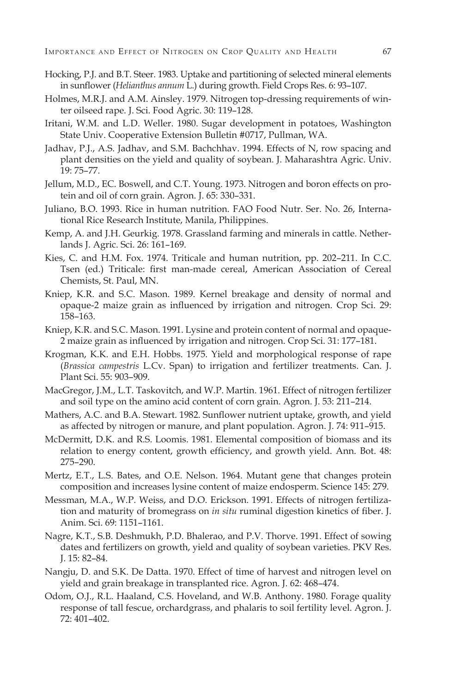- Hocking, P.J. and B.T. Steer. 1983. Uptake and partitioning of selected mineral elements in sunflower (*Helianthus annum* L.) during growth. Field Crops Res. 6: 93–107.
- Holmes, M.R.J. and A.M. Ainsley. 1979. Nitrogen top-dressing requirements of winter oilseed rape. J. Sci. Food Agric. 30: 119–128.
- Iritani, W.M. and L.D. Weller. 1980. Sugar development in potatoes, Washington State Univ. Cooperative Extension Bulletin #0717, Pullman, WA.
- Jadhav, P.J., A.S. Jadhav, and S.M. Bachchhav. 1994. Effects of N, row spacing and plant densities on the yield and quality of soybean. J. Maharashtra Agric. Univ. 19: 75–77.
- Jellum, M.D., EC. Boswell, and C.T. Young. 1973. Nitrogen and boron effects on protein and oil of corn grain. Agron. J. 65: 330–331.
- Juliano, B.O. 1993. Rice in human nutrition. FAO Food Nutr. Ser. No. 26, International Rice Research Institute, Manila, Philippines.
- Kemp, A. and J.H. Geurkig. 1978. Grassland farming and minerals in cattle. Netherlands J. Agric. Sci. 26: 161–169.
- Kies, C. and H.M. Fox. 1974. Triticale and human nutrition, pp. 202–211. In C.C. Tsen (ed.) Triticale: first man-made cereal, American Association of Cereal Chemists, St. Paul, MN.
- Kniep, K.R. and S.C. Mason. 1989. Kernel breakage and density of normal and opaque-2 maize grain as influenced by irrigation and nitrogen. Crop Sci. 29: 158–163.
- Kniep, K.R. and S.C. Mason. 1991. Lysine and protein content of normal and opaque-2 maize grain as influenced by irrigation and nitrogen. Crop Sci. 31: 177–181.
- Krogman, K.K. and E.H. Hobbs. 1975. Yield and morphological response of rape (*Brassica campestris* L.Cv. Span) to irrigation and fertilizer treatments. Can. J. Plant Sci. 55: 903–909.
- MacGregor, J.M., L.T. Taskovitch, and W.P. Martin. 1961. Effect of nitrogen fertilizer and soil type on the amino acid content of corn grain. Agron. J. 53: 211–214.
- Mathers, A.C. and B.A. Stewart. 1982. Sunflower nutrient uptake, growth, and yield as affected by nitrogen or manure, and plant population. Agron. J. 74: 911–915.
- McDermitt, D.K. and R.S. Loomis. 1981. Elemental composition of biomass and its relation to energy content, growth efficiency, and growth yield. Ann. Bot. 48: 275–290.
- Mertz, E.T., L.S. Bates, and O.E. Nelson. 1964. Mutant gene that changes protein composition and increases lysine content of maize endosperm. Science 145: 279.
- Messman, M.A., W.P. Weiss, and D.O. Erickson. 1991. Effects of nitrogen fertilization and maturity of bromegrass on *in situ* ruminal digestion kinetics of fiber. J. Anim. Sci. 69: 1151–1161.
- Nagre, K.T., S.B. Deshmukh, P.D. Bhalerao, and P.V. Thorve. 1991. Effect of sowing dates and fertilizers on growth, yield and quality of soybean varieties. PKV Res. J. 15: 82–84.
- Nangju, D. and S.K. De Datta. 1970. Effect of time of harvest and nitrogen level on yield and grain breakage in transplanted rice. Agron. J. 62: 468–474.
- Odom, O.J., R.L. Haaland, C.S. Hoveland, and W.B. Anthony. 1980. Forage quality response of tall fescue, orchardgrass, and phalaris to soil fertility level. Agron. J. 72: 401–402.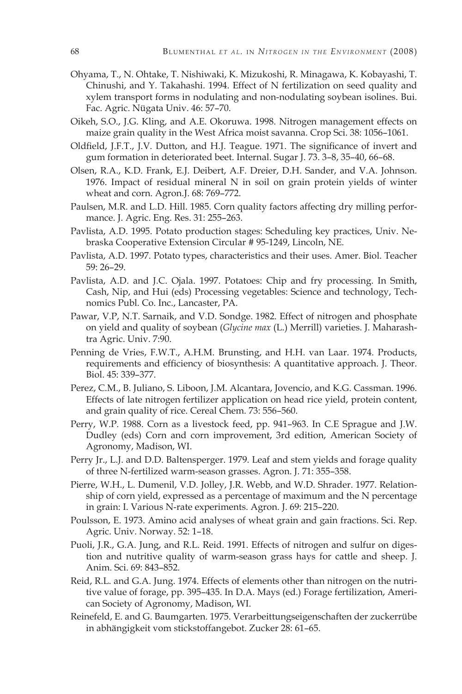- Ohyama, T., N. Ohtake, T. Nishiwaki, K. Mizukoshi, R. Minagawa, K. Kobayashi, T. Chinushi, and Y. Takahashi. 1994. Effect of N fertilization on seed quality and xylem transport forms in nodulating and non-nodulating soybean isolines. Bui. Fac. Agric. Nügata Univ. 46: 57–70.
- Oikeh, S.O., J.G. Kling, and A.E. Okoruwa. 1998. Nitrogen management effects on maize grain quality in the West Africa moist savanna. Crop Sci. 38: 1056–1061.
- Oldfield, J.F.T., J.V. Dutton, and H.J. Teague. 1971. The significance of invert and gum formation in deteriorated beet. Internal. Sugar J. 73. 3–8, 35–40, 66–68.
- Olsen, R.A., K.D. Frank, E.J. Deibert, A.F. Dreier, D.H. Sander, and V.A. Johnson. 1976. Impact of residual mineral N in soil on grain protein yields of winter wheat and corn. Agron.J. 68: 769–772.
- Paulsen, M.R. and L.D. Hill. 1985. Corn quality factors affecting dry milling performance. J. Agric. Eng. Res. 31: 255–263.
- Pavlista, A.D. 1995. Potato production stages: Scheduling key practices, Univ. Nebraska Cooperative Extension Circular # 95-1249, Lincoln, NE.
- Pavlista, A.D. 1997. Potato types, characteristics and their uses. Amer. Biol. Teacher 59: 26–29.
- Pavlista, A.D. and J.C. Ojala. 1997. Potatoes: Chip and fry processing. In Smith, Cash, Nip, and Hui (eds) Processing vegetables: Science and technology, Technomics Publ. Co. Inc., Lancaster, PA.
- Pawar, V.P, N.T. Sarnaik, and V.D. Sondge. 1982. Effect of nitrogen and phosphate on yield and quality of soybean (*Glycine max* (L.) Merrill) varieties. J. Maharashtra Agric. Univ. 7:90.
- Penning de Vries, F.W.T., A.H.M. Brunsting, and H.H. van Laar. 1974. Products, requirements and efficiency of biosynthesis: A quantitative approach. J. Theor. Biol. 45: 339–377.
- Perez, C.M., B. Juliano, S. Liboon, J.M. Alcantara, Jovencio, and K.G. Cassman. 1996. Effects of late nitrogen fertilizer application on head rice yield, protein content, and grain quality of rice. Cereal Chem. 73: 556–560.
- Perry, W.P. 1988. Corn as a livestock feed, pp. 941–963. In C.E Sprague and J.W. Dudley (eds) Corn and corn improvement, 3rd edition, American Society of Agronomy, Madison, WI.
- Perry Jr., L.J. and D.D. Baltensperger. 1979. Leaf and stem yields and forage quality of three N-fertilized warm-season grasses. Agron. J. 71: 355–358.
- Pierre, W.H., L. Dumenil, V.D. Jolley, J.R. Webb, and W.D. Shrader. 1977. Relationship of corn yield, expressed as a percentage of maximum and the N percentage in grain: I. Various N-rate experiments. Agron. J. 69: 215–220.
- Poulsson, E. 1973. Amino acid analyses of wheat grain and gain fractions. Sci. Rep. Agric. Univ. Norway. 52: 1–18.
- Puoli, J.R., G.A. Jung, and R.L. Reid. 1991. Effects of nitrogen and sulfur on digestion and nutritive quality of warm-season grass hays for cattle and sheep. J. Anim. Sci. 69: 843–852.
- Reid, R.L. and G.A. Jung. 1974. Effects of elements other than nitrogen on the nutritive value of forage, pp. 395–435. In D.A. Mays (ed.) Forage fertilization, American Society of Agronomy, Madison, WI.
- Reinefeld, E. and G. Baumgarten. 1975. Verarbeittungseigenschaften der zuckerrübe in abhängigkeit vom stickstoffangebot. Zucker 28: 61–65.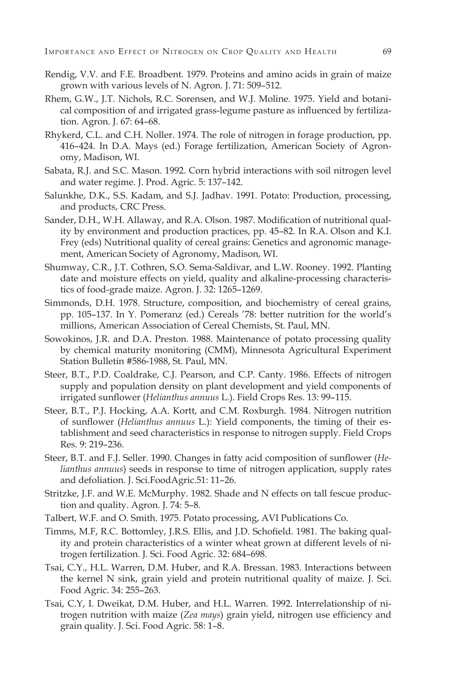- Rendig, V.V. and F.E. Broadbent. 1979. Proteins and amino acids in grain of maize grown with various levels of N. Agron. J. 71: 509–512.
- Rhem, G.W., J.T. Nichols, R.C. Sorensen, and W.J. Moline. 1975. Yield and botanical composition of and irrigated grass-legume pasture as influenced by fertilization. Agron. J. 67: 64–68.
- Rhykerd, C.L. and C.H. Noller. 1974. The role of nitrogen in forage production, pp. 416–424. In D.A. Mays (ed.) Forage fertilization, American Society of Agronomy, Madison, WI.
- Sabata, R.J. and S.C. Mason. 1992. Corn hybrid interactions with soil nitrogen level and water regime. J. Prod. Agric. 5: 137–142.
- Salunkhe, D.K., S.S. Kadam, and S.J. Jadhav. 1991. Potato: Production, processing, and products, CRC Press.
- Sander, D.H., W.H. Allaway, and R.A. Olson. 1987. Modification of nutritional quality by environment and production practices, pp. 45–82. In R.A. Olson and K.I. Frey (eds) Nutritional quality of cereal grains: Genetics and agronomic management, American Society of Agronomy, Madison, WI.
- Shumway, C.R., J.T. Cothren, S.O. Sema-Saldivar, and L.W. Rooney. 1992. Planting date and moisture effects on yield, quality and alkaline-processing characteristics of food-grade maize. Agron. J. 32: 1265–1269.
- Simmonds, D.H. 1978. Structure, composition, and biochemistry of cereal grains, pp. 105–137. In Y. Pomeranz (ed.) Cereals '78: better nutrition for the world's millions, American Association of Cereal Chemists, St. Paul, MN.
- Sowokinos, J.R. and D.A. Preston. 1988. Maintenance of potato processing quality by chemical maturity monitoring (CMM), Minnesota Agricultural Experiment Station Bulletin #586-1988, St. Paul, MN.
- Steer, B.T., P.D. Coaldrake, C.J. Pearson, and C.P. Canty. 1986. Effects of nitrogen supply and population density on plant development and yield components of irrigated sunflower (*Helianthus annuus* L.). Field Crops Res. 13: 99–115.
- Steer, B.T., P.J. Hocking, A.A. Kortt, and C.M. Roxburgh. 1984. Nitrogen nutrition of sunflower (*Helianthus annuus* L.): Yield components, the timing of their establishment and seed characteristics in response to nitrogen supply. Field Crops Res. 9: 219–236.
- Steer, B.T. and F.J. Seller. 1990. Changes in fatty acid composition of sunflower (*Helianthus annuus*) seeds in response to time of nitrogen application, supply rates and defoliation. J. Sci.FoodAgric.51: 11–26.
- Stritzke, J.F. and W.E. McMurphy. 1982. Shade and N effects on tall fescue production and quality. Agron. J. 74: 5–8.
- Talbert, W.F. and O. Smith. 1975. Potato processing, AVI Publications Co.
- Timms, M.F, R.C. Bottomley, J.R.S. Ellis, and J.D. Schofield. 1981. The baking quality and protein characteristics of a winter wheat grown at different levels of nitrogen fertilization. J. Sci. Food Agric. 32: 684–698.
- Tsai, C.Y., H.L. Warren, D.M. Huber, and R.A. Bressan. 1983. Interactions between the kernel N sink, grain yield and protein nutritional quality of maize. J. Sci. Food Agric. 34: 255–263.
- Tsai, C.Y, I. Dweikat, D.M. Huber, and H.L. Warren. 1992. Interrelationship of nitrogen nutrition with maize (*Zea mays*) grain yield, nitrogen use efficiency and grain quality. J. Sci. Food Agric. 58: 1–8.